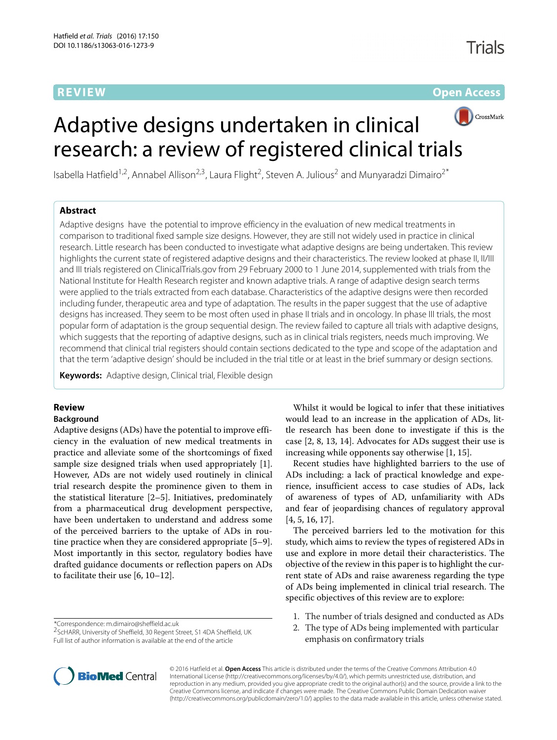# **REVIEW Open Access**



# Adaptive designs undertaken in clinical research: a review of registered clinical trials

Isabella Hatfield<sup>1,2</sup>, Annabel Allison<sup>2,3</sup>, Laura Flight<sup>2</sup>, Steven A. Julious<sup>2</sup> and Munyaradzi Dimairo<sup>2\*</sup>

# **Abstract**

Adaptive designs have the potential to improve efficiency in the evaluation of new medical treatments in comparison to traditional fixed sample size designs. However, they are still not widely used in practice in clinical research. Little research has been conducted to investigate what adaptive designs are being undertaken. This review highlights the current state of registered adaptive designs and their characteristics. The review looked at phase II, II/III and III trials registered on ClinicalTrials.gov from 29 February 2000 to 1 June 2014, supplemented with trials from the National Institute for Health Research register and known adaptive trials. A range of adaptive design search terms were applied to the trials extracted from each database. Characteristics of the adaptive designs were then recorded including funder, therapeutic area and type of adaptation. The results in the paper suggest that the use of adaptive designs has increased. They seem to be most often used in phase II trials and in oncology. In phase III trials, the most popular form of adaptation is the group sequential design. The review failed to capture all trials with adaptive designs, which suggests that the reporting of adaptive designs, such as in clinical trials registers, needs much improving. We recommend that clinical trial registers should contain sections dedicated to the type and scope of the adaptation and that the term 'adaptive design' should be included in the trial title or at least in the brief summary or design sections.

**Keywords:** Adaptive design, Clinical trial, Flexible design

#### **Review**

#### **Background**

Adaptive designs (ADs) have the potential to improve efficiency in the evaluation of new medical treatments in practice and alleviate some of the shortcomings of fixed sample size designed trials when used appropriately [\[1\]](#page-11-0). However, ADs are not widely used routinely in clinical trial research despite the prominence given to them in the statistical literature [\[2](#page-11-1)[–5\]](#page-11-2). Initiatives, predominately from a pharmaceutical drug development perspective, have been undertaken to understand and address some of the perceived barriers to the uptake of ADs in routine practice when they are considered appropriate [\[5–](#page-11-2)[9\]](#page-11-3). Most importantly in this sector, regulatory bodies have drafted guidance documents or reflection papers on ADs to facilitate their use [\[6,](#page-11-4) [10](#page-11-5)[–12\]](#page-11-6).

\*Correspondence: [m.dimairo@sheffield.ac.uk](mailto: m.dimairo@sheffield.ac.uk)

2ScHARR, University of Sheffield, 30 Regent Street, S1 4DA Sheffield, UK Full list of author information is available at the end of the article

Whilst it would be logical to infer that these initiatives would lead to an increase in the application of ADs, little research has been done to investigate if this is the case [\[2,](#page-11-1) [8,](#page-11-7) [13,](#page-11-8) [14\]](#page-11-9). Advocates for ADs suggest their use is increasing while opponents say otherwise [\[1,](#page-11-0) [15\]](#page-11-10).

Recent studies have highlighted barriers to the use of ADs including: a lack of practical knowledge and experience, insufficient access to case studies of ADs, lack of awareness of types of AD, unfamiliarity with ADs and fear of jeopardising chances of regulatory approval [\[4,](#page-11-11) [5,](#page-11-2) [16,](#page-11-12) [17\]](#page-11-13).

The perceived barriers led to the motivation for this study, which aims to review the types of registered ADs in use and explore in more detail their characteristics. The objective of the review in this paper is to highlight the current state of ADs and raise awareness regarding the type of ADs being implemented in clinical trial research. The specific objectives of this review are to explore:

- 1. The number of trials designed and conducted as ADs
- 2. The type of ADs being implemented with particular emphasis on confirmatory trials



© 2016 Hatfield et al. **Open Access** This article is distributed under the terms of the Creative Commons Attribution 4.0 International License [\(http://creativecommons.org/licenses/by/4.0/\)](http://creativecommons.org/licenses/by/4.0/), which permits unrestricted use, distribution, and reproduction in any medium, provided you give appropriate credit to the original author(s) and the source, provide a link to the Creative Commons license, and indicate if changes were made. The Creative Commons Public Domain Dedication waiver [\(http://creativecommons.org/publicdomain/zero/1.0/\)](http://creativecommons.org/publicdomain/zero/1.0/) applies to the data made available in this article, unless otherwise stated.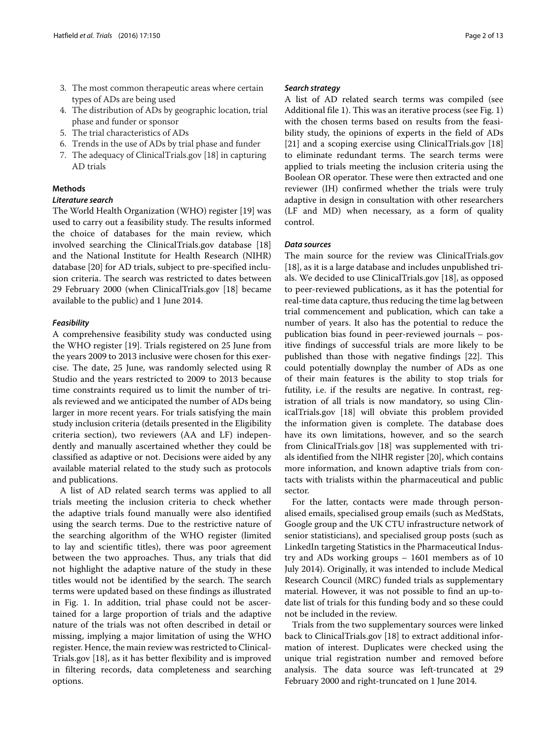- 3. The most common therapeutic areas where certain types of ADs are being used
- 4. The distribution of ADs by geographic location, trial phase and funder or sponsor
- 5. The trial characteristics of ADs
- 6. Trends in the use of ADs by trial phase and funder
- 7. The adequacy of ClinicalTrials.gov [\[18\]](#page-11-14) in capturing AD trials

#### **Methods**

#### *Literature search*

The World Health Organization (WHO) register [\[19\]](#page-11-15) was used to carry out a feasibility study. The results informed the choice of databases for the main review, which involved searching the ClinicalTrials.gov database [\[18\]](#page-11-14) and the National Institute for Health Research (NIHR) database [\[20\]](#page-11-16) for AD trials, subject to pre-specified inclusion criteria. The search was restricted to dates between 29 February 2000 (when ClinicalTrials.gov [\[18\]](#page-11-14) became available to the public) and 1 June 2014.

#### *Feasibility*

A comprehensive feasibility study was conducted using the WHO register [\[19\]](#page-11-15). Trials registered on 25 June from the years 2009 to 2013 inclusive were chosen for this exercise. The date, 25 June, was randomly selected using R Studio and the years restricted to 2009 to 2013 because time constraints required us to limit the number of trials reviewed and we anticipated the number of ADs being larger in more recent years. For trials satisfying the main study inclusion criteria (details presented in the Eligibility criteria section), two reviewers (AA and LF) independently and manually ascertained whether they could be classified as adaptive or not. Decisions were aided by any available material related to the study such as protocols and publications.

A list of AD related search terms was applied to all trials meeting the inclusion criteria to check whether the adaptive trials found manually were also identified using the search terms. Due to the restrictive nature of the searching algorithm of the WHO register (limited to lay and scientific titles), there was poor agreement between the two approaches. Thus, any trials that did not highlight the adaptive nature of the study in these titles would not be identified by the search. The search terms were updated based on these findings as illustrated in Fig. [1.](#page-2-0) In addition, trial phase could not be ascertained for a large proportion of trials and the adaptive nature of the trials was not often described in detail or missing, implying a major limitation of using the WHO register. Hence, the main review was restricted to Clinical-Trials.gov [\[18\]](#page-11-14), as it has better flexibility and is improved in filtering records, data completeness and searching options.

#### *Search strategy*

A list of AD related search terms was compiled (see Additional file [1\)](#page-11-17). This was an iterative process (see Fig. [1\)](#page-2-0) with the chosen terms based on results from the feasibility study, the opinions of experts in the field of ADs [\[21\]](#page-11-18) and a scoping exercise using ClinicalTrials.gov [\[18\]](#page-11-14) to eliminate redundant terms. The search terms were applied to trials meeting the inclusion criteria using the Boolean OR operator. These were then extracted and one reviewer (IH) confirmed whether the trials were truly adaptive in design in consultation with other researchers (LF and MD) when necessary, as a form of quality control.

#### *Data sources*

The main source for the review was ClinicalTrials.gov [\[18\]](#page-11-14), as it is a large database and includes unpublished trials. We decided to use ClinicalTrials.gov [\[18\]](#page-11-14), as opposed to peer-reviewed publications, as it has the potential for real-time data capture, thus reducing the time lag between trial commencement and publication, which can take a number of years. It also has the potential to reduce the publication bias found in peer-reviewed journals – positive findings of successful trials are more likely to be published than those with negative findings [\[22\]](#page-11-19). This could potentially downplay the number of ADs as one of their main features is the ability to stop trials for futility, i.e. if the results are negative. In contrast, registration of all trials is now mandatory, so using ClinicalTrials.gov [\[18\]](#page-11-14) will obviate this problem provided the information given is complete. The database does have its own limitations, however, and so the search from ClinicalTrials.gov [\[18\]](#page-11-14) was supplemented with trials identified from the NIHR register [\[20\]](#page-11-16), which contains more information, and known adaptive trials from contacts with trialists within the pharmaceutical and public sector.

For the latter, contacts were made through personalised emails, specialised group emails (such as MedStats, Google group and the UK CTU infrastructure network of senior statisticians), and specialised group posts (such as LinkedIn targeting Statistics in the Pharmaceutical Industry and ADs working groups – 1601 members as of 10 July 2014). Originally, it was intended to include Medical Research Council (MRC) funded trials as supplementary material. However, it was not possible to find an up-todate list of trials for this funding body and so these could not be included in the review.

Trials from the two supplementary sources were linked back to ClinicalTrials.gov [\[18\]](#page-11-14) to extract additional information of interest. Duplicates were checked using the unique trial registration number and removed before analysis. The data source was left-truncated at 29 February 2000 and right-truncated on 1 June 2014.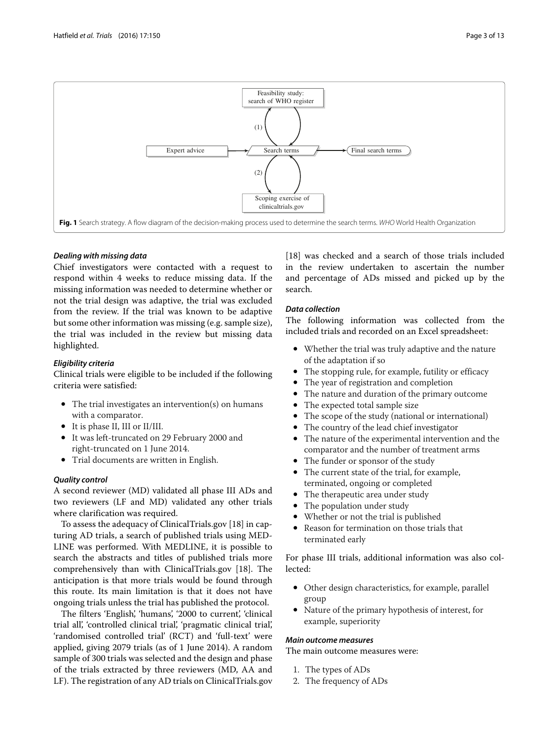

#### <span id="page-2-0"></span>*Dealing with missing data*

Chief investigators were contacted with a request to respond within 4 weeks to reduce missing data. If the missing information was needed to determine whether or not the trial design was adaptive, the trial was excluded from the review. If the trial was known to be adaptive but some other information was missing (e.g. sample size), the trial was included in the review but missing data highlighted.

#### *Eligibility criteria*

Clinical trials were eligible to be included if the following criteria were satisfied:

- The trial investigates an intervention(s) on humans with a comparator.
- It is phase II, III or II/III.
- It was left-truncated on 29 February 2000 and right-truncated on 1 June 2014.
- Trial documents are written in English.

#### *Quality control*

A second reviewer (MD) validated all phase III ADs and two reviewers (LF and MD) validated any other trials where clarification was required.

To assess the adequacy of ClinicalTrials.gov [\[18\]](#page-11-14) in capturing AD trials, a search of published trials using MED-LINE was performed. With MEDLINE, it is possible to search the abstracts and titles of published trials more comprehensively than with ClinicalTrials.gov [\[18\]](#page-11-14). The anticipation is that more trials would be found through this route. Its main limitation is that it does not have ongoing trials unless the trial has published the protocol.

The filters 'English', 'humans', '2000 to current', 'clinical trial all', 'controlled clinical trial', 'pragmatic clinical trial', 'randomised controlled trial' (RCT) and 'full-text' were applied, giving 2079 trials (as of 1 June 2014). A random sample of 300 trials was selected and the design and phase of the trials extracted by three reviewers (MD, AA and LF). The registration of any AD trials on ClinicalTrials.gov [\[18\]](#page-11-14) was checked and a search of those trials included in the review undertaken to ascertain the number and percentage of ADs missed and picked up by the search.

# *Data collection*

The following information was collected from the included trials and recorded on an Excel spreadsheet:

- Whether the trial was truly adaptive and the nature of the adaptation if so
- The stopping rule, for example, futility or efficacy
- The year of registration and completion
- The nature and duration of the primary outcome
- The expected total sample size
- The scope of the study (national or international)
- The country of the lead chief investigator
- The nature of the experimental intervention and the comparator and the number of treatment arms
- The funder or sponsor of the study
- The current state of the trial, for example, terminated, ongoing or completed
- The therapeutic area under study
- The population under study
- Whether or not the trial is published
- Reason for termination on those trials that terminated early

For phase III trials, additional information was also collected:

- Other design characteristics, for example, parallel group
- Nature of the primary hypothesis of interest, for example, superiority

### *Main outcome measures*

The main outcome measures were:

- 1. The types of ADs
- 2. The frequency of ADs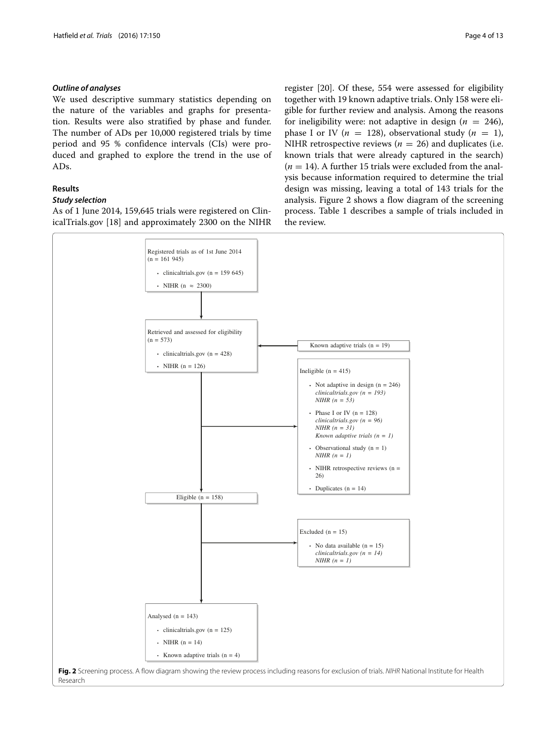#### *Outline of analyses*

We used descriptive summary statistics depending on the nature of the variables and graphs for presentation. Results were also stratified by phase and funder. The number of ADs per 10,000 registered trials by time period and 95 % confidence intervals (CIs) were produced and graphed to explore the trend in the use of ADs.

# **Results**

# *Study selection*

As of 1 June 2014, 159,645 trials were registered on ClinicalTrials.gov [\[18\]](#page-11-14) and approximately 2300 on the NIHR register [\[20\]](#page-11-16). Of these, 554 were assessed for eligibility together with 19 known adaptive trials. Only 158 were eligible for further review and analysis. Among the reasons for ineligibility were: not adaptive in design  $(n = 246)$ , phase I or IV ( $n = 128$ ), observational study ( $n = 1$ ), NIHR retrospective reviews ( $n = 26$ ) and duplicates (i.e. known trials that were already captured in the search)  $(n = 14)$ . A further 15 trials were excluded from the analysis because information required to determine the trial design was missing, leaving a total of 143 trials for the analysis. Figure [2](#page-3-0) shows a flow diagram of the screening process. Table [1](#page-4-0) describes a sample of trials included in the review.

<span id="page-3-0"></span>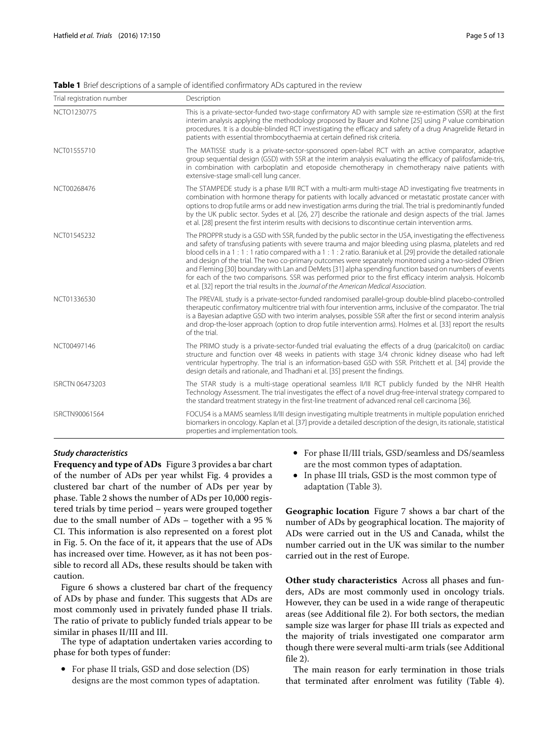<span id="page-4-0"></span>

| Trial registration number | Description                                                                                                                                                                                                                                                                                                                                                                                                                                                                                                                                                                                                                                                                                                                                                                   |
|---------------------------|-------------------------------------------------------------------------------------------------------------------------------------------------------------------------------------------------------------------------------------------------------------------------------------------------------------------------------------------------------------------------------------------------------------------------------------------------------------------------------------------------------------------------------------------------------------------------------------------------------------------------------------------------------------------------------------------------------------------------------------------------------------------------------|
| NCTO1230775               | This is a private-sector-funded two-stage confirmatory AD with sample size re-estimation (SSR) at the first<br>interim analysis applying the methodology proposed by Bauer and Kohne $[25]$ using P value combination<br>procedures. It is a double-blinded RCT investigating the efficacy and safety of a drug Anagrelide Retard in<br>patients with essential thrombocythaemia at certain defined risk criteria.                                                                                                                                                                                                                                                                                                                                                            |
| NCT01555710               | The MATISSE study is a private-sector-sponsored open-label RCT with an active comparator, adaptive<br>group sequential design (GSD) with SSR at the interim analysis evaluating the efficacy of palifosfamide-tris,<br>in combination with carboplatin and etoposide chemotherapy in chemotherapy naive patients with<br>extensive-stage small-cell lung cancer.                                                                                                                                                                                                                                                                                                                                                                                                              |
| NCT00268476               | The STAMPEDE study is a phase II/III RCT with a multi-arm multi-stage AD investigating five treatments in<br>combination with hormone therapy for patients with locally advanced or metastatic prostate cancer with<br>options to drop futile arms or add new investigation arms during the trial. The trial is predominantly funded<br>by the UK public sector. Sydes et al. [26, 27] describe the rationale and design aspects of the trial. James<br>et al. [28] present the first interim results with decisions to discontinue certain intervention arms.                                                                                                                                                                                                                |
| NCT01545232               | The PROPPR study is a GSD with SSR, funded by the public sector in the USA, investigating the effectiveness<br>and safety of transfusing patients with severe trauma and major bleeding using plasma, platelets and red<br>blood cells in a 1 : 1 : 1 ratio compared with a 1 : 1 : 2 ratio. Baraniuk et al. [29] provide the detailed rationale<br>and design of the trial. The two co-primary outcomes were separately monitored using a two-sided O'Brien<br>and Fleming [30] boundary with Lan and DeMets [31] alpha spending function based on numbers of events<br>for each of the two comparisons. SSR was performed prior to the first efficacy interim analysis. Holcomb<br>et al. [32] report the trial results in the Journal of the American Medical Association. |
| NCT01336530               | The PREVAIL study is a private-sector-funded randomised parallel-group double-blind placebo-controlled<br>therapeutic confirmatory multicentre trial with four intervention arms, inclusive of the comparator. The trial<br>is a Bayesian adaptive GSD with two interim analyses, possible SSR after the first or second interim analysis<br>and drop-the-loser approach (option to drop futile intervention arms). Holmes et al. [33] report the results<br>of the trial.                                                                                                                                                                                                                                                                                                    |
| NCT00497146               | The PRIMO study is a private-sector-funded trial evaluating the effects of a drug (paricalcitol) on cardiac<br>structure and function over 48 weeks in patients with stage 3/4 chronic kidney disease who had left<br>ventricular hypertrophy. The trial is an information-based GSD with SSR. Pritchett et al. [34] provide the<br>design details and rationale, and Thadhani et al. [35] present the findings.                                                                                                                                                                                                                                                                                                                                                              |
| <b>ISRCTN 06473203</b>    | The STAR study is a multi-stage operational seamless II/III RCT publicly funded by the NIHR Health<br>Technology Assessment. The trial investigates the effect of a novel drug-free-interval strategy compared to<br>the standard treatment strategy in the first-line treatment of advanced renal cell carcinoma [36].                                                                                                                                                                                                                                                                                                                                                                                                                                                       |
| ISRCTN90061564            | FOCUS4 is a MAMS seamless II/III design investigating multiple treatments in multiple population enriched<br>biomarkers in oncology. Kaplan et al. [37] provide a detailed description of the design, its rationale, statistical<br>properties and implementation tools.                                                                                                                                                                                                                                                                                                                                                                                                                                                                                                      |

#### *Study characteristics*

**Frequency and type of ADs** Figure [3](#page-5-0) provides a bar chart of the number of ADs per year whilst Fig. [4](#page-6-0) provides a clustered bar chart of the number of ADs per year by phase. Table [2](#page-6-1) shows the number of ADs per 10,000 registered trials by time period – years were grouped together due to the small number of ADs – together with a 95 % CI. This information is also represented on a forest plot in Fig. [5.](#page-7-0) On the face of it, it appears that the use of ADs has increased over time. However, as it has not been possible to record all ADs, these results should be taken with caution.

Figure [6](#page-8-0) shows a clustered bar chart of the frequency of ADs by phase and funder. This suggests that ADs are most commonly used in privately funded phase II trials. The ratio of private to publicly funded trials appear to be similar in phases II/III and III.

The type of adaptation undertaken varies according to phase for both types of funder:

• For phase II trials, GSD and dose selection (DS) designs are the most common types of adaptation.

- For phase II/III trials, GSD/seamless and DS/seamless are the most common types of adaptation.
- In phase III trials, GSD is the most common type of adaptation (Table [3\)](#page-8-1).

**Geographic location** Figure [7](#page-9-0) shows a bar chart of the number of ADs by geographical location. The majority of ADs were carried out in the US and Canada, whilst the number carried out in the UK was similar to the number carried out in the rest of Europe.

**Other study characteristics** Across all phases and funders, ADs are most commonly used in oncology trials. However, they can be used in a wide range of therapeutic areas (see Additional file [2\)](#page-11-21). For both sectors, the median sample size was larger for phase III trials as expected and the majority of trials investigated one comparator arm though there were several multi-arm trials (see Additional file [2\)](#page-11-21).

The main reason for early termination in those trials that terminated after enrolment was futility (Table [4\)](#page-9-1).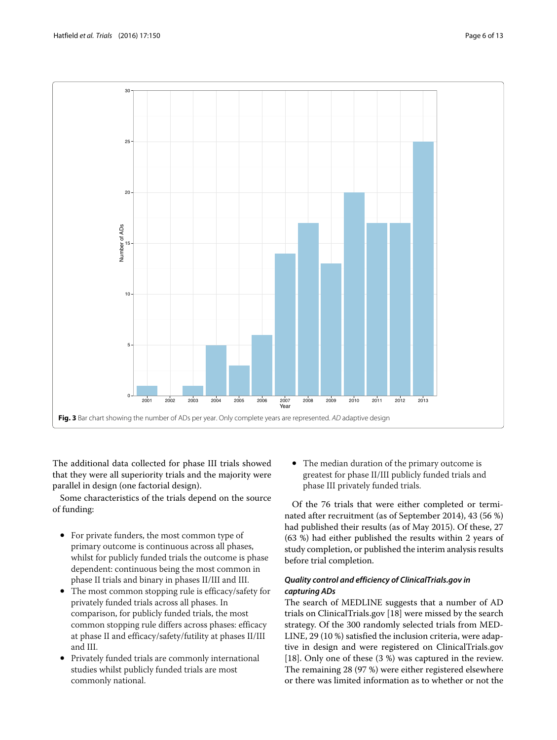

<span id="page-5-0"></span>The additional data collected for phase III trials showed that they were all superiority trials and the majority were parallel in design (one factorial design).

Some characteristics of the trials depend on the source of funding:

- For private funders, the most common type of primary outcome is continuous across all phases, whilst for publicly funded trials the outcome is phase dependent: continuous being the most common in phase II trials and binary in phases II/III and III.
- The most common stopping rule is efficacy/safety for privately funded trials across all phases. In comparison, for publicly funded trials, the most common stopping rule differs across phases: efficacy at phase II and efficacy/safety/futility at phases II/III and III.
- Privately funded trials are commonly international studies whilst publicly funded trials are most commonly national.

• The median duration of the primary outcome is greatest for phase II/III publicly funded trials and phase III privately funded trials.

Of the 76 trials that were either completed or terminated after recruitment (as of September 2014), 43 (56 %) had published their results (as of May 2015). Of these, 27 (63 %) had either published the results within 2 years of study completion, or published the interim analysis results before trial completion.

# *Quality control and efficiency of ClinicalTrials.gov in capturing ADs*

The search of MEDLINE suggests that a number of AD trials on ClinicalTrials.gov [\[18\]](#page-11-14) were missed by the search strategy. Of the 300 randomly selected trials from MED-LINE, 29 (10 %) satisfied the inclusion criteria, were adaptive in design and were registered on ClinicalTrials.gov [\[18\]](#page-11-14). Only one of these (3 %) was captured in the review. The remaining 28 (97 %) were either registered elsewhere or there was limited information as to whether or not the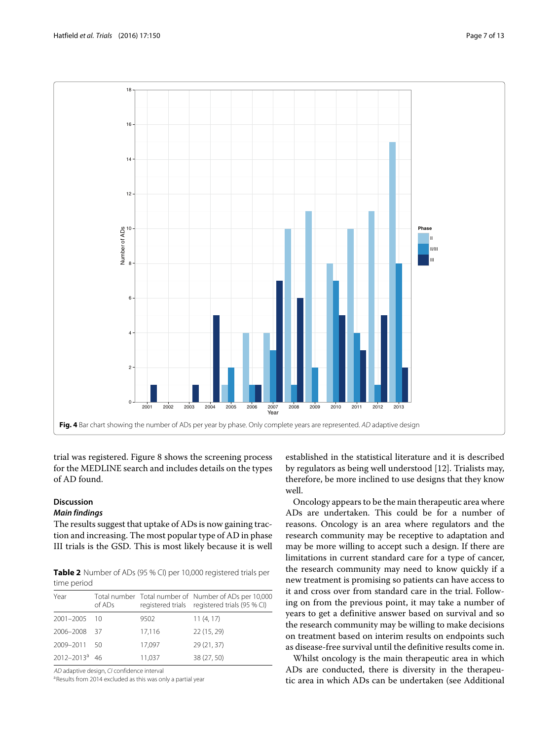

<span id="page-6-0"></span>trial was registered. Figure [8](#page-10-0) shows the screening process for the MEDLINE search and includes details on the types of AD found.

# **Discussion**

# *Main findings*

The results suggest that uptake of ADs is now gaining traction and increasing. The most popular type of AD in phase III trials is the GSD. This is most likely because it is well

**Table 2** Number of ADs (95 % CI) per 10,000 registered trials per time period

<span id="page-6-1"></span>

| Year                      | of ADs |        | Total number Total number of Number of ADs per 10,000<br>registered trials registered trials (95 % CI) |
|---------------------------|--------|--------|--------------------------------------------------------------------------------------------------------|
| $2001 - 2005$             | - 10   | 9502   | 11(4, 17)                                                                                              |
| 2006-2008                 | - 37   | 17,116 | 22 (15, 29)                                                                                            |
| 2009-2011                 | - 50   | 17,097 | 29(21, 37)                                                                                             |
| 2012-2013 <sup>a</sup> 46 |        | 11,037 | 38 (27, 50)                                                                                            |

AD adaptive design, CI confidence interval

aResults from 2014 excluded as this was only a partial year

established in the statistical literature and it is described by regulators as being well understood [\[12\]](#page-11-6). Trialists may, therefore, be more inclined to use designs that they know well.

Oncology appears to be the main therapeutic area where ADs are undertaken. This could be for a number of reasons. Oncology is an area where regulators and the research community may be receptive to adaptation and may be more willing to accept such a design. If there are limitations in current standard care for a type of cancer, the research community may need to know quickly if a new treatment is promising so patients can have access to it and cross over from standard care in the trial. Following on from the previous point, it may take a number of years to get a definitive answer based on survival and so the research community may be willing to make decisions on treatment based on interim results on endpoints such as disease-free survival until the definitive results come in.

Whilst oncology is the main therapeutic area in which ADs are conducted, there is diversity in the therapeutic area in which ADs can be undertaken (see Additional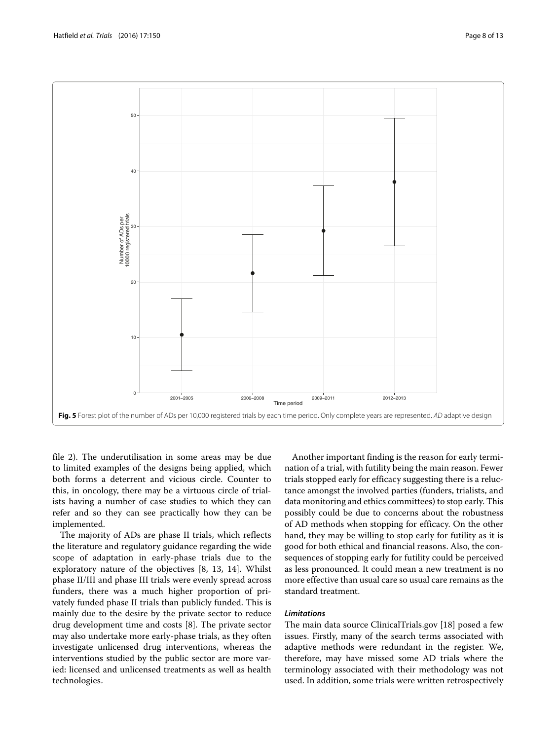

<span id="page-7-0"></span>file [2\)](#page-11-21). The underutilisation in some areas may be due to limited examples of the designs being applied, which both forms a deterrent and vicious circle. Counter to this, in oncology, there may be a virtuous circle of trialists having a number of case studies to which they can refer and so they can see practically how they can be implemented.

The majority of ADs are phase II trials, which reflects the literature and regulatory guidance regarding the wide scope of adaptation in early-phase trials due to the exploratory nature of the objectives [\[8,](#page-11-7) [13,](#page-11-8) [14\]](#page-11-9). Whilst phase II/III and phase III trials were evenly spread across funders, there was a much higher proportion of privately funded phase II trials than publicly funded. This is mainly due to the desire by the private sector to reduce drug development time and costs [\[8\]](#page-11-7). The private sector may also undertake more early-phase trials, as they often investigate unlicensed drug interventions, whereas the interventions studied by the public sector are more varied: licensed and unlicensed treatments as well as health technologies.

Another important finding is the reason for early termination of a trial, with futility being the main reason. Fewer trials stopped early for efficacy suggesting there is a reluctance amongst the involved parties (funders, trialists, and data monitoring and ethics committees) to stop early. This possibly could be due to concerns about the robustness of AD methods when stopping for efficacy. On the other hand, they may be willing to stop early for futility as it is good for both ethical and financial reasons. Also, the consequences of stopping early for futility could be perceived as less pronounced. It could mean a new treatment is no more effective than usual care so usual care remains as the standard treatment.

#### *Limitations*

The main data source ClinicalTrials.gov [\[18\]](#page-11-14) posed a few issues. Firstly, many of the search terms associated with adaptive methods were redundant in the register. We, therefore, may have missed some AD trials where the terminology associated with their methodology was not used. In addition, some trials were written retrospectively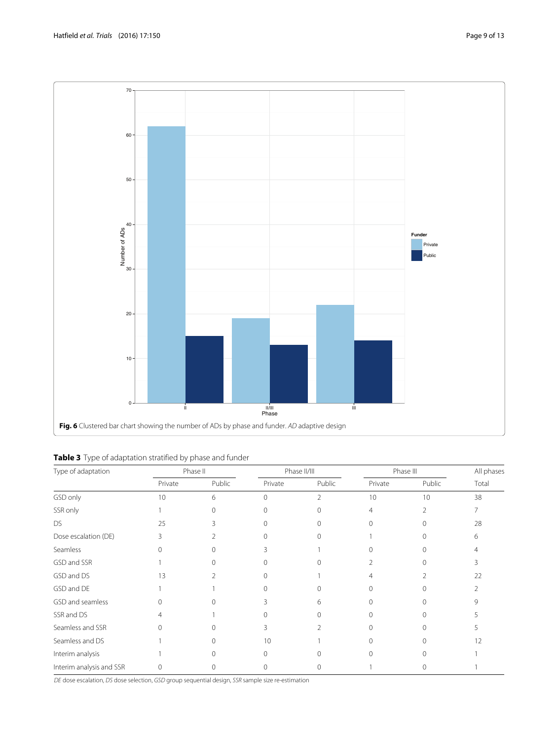

<span id="page-8-1"></span><span id="page-8-0"></span>

|  |  |  |  |  | Table 3 Type of adaptation stratified by phase and funder |
|--|--|--|--|--|-----------------------------------------------------------|
|--|--|--|--|--|-----------------------------------------------------------|

| Type of adaptation       | Phase II |          | Phase II/III |               | Phase III |                | All phases |  |
|--------------------------|----------|----------|--------------|---------------|-----------|----------------|------------|--|
|                          | Private  | Public   | Private      | Public        | Private   | Public         | Total      |  |
| GSD only                 | 10       | 6        | $\Omega$     | 2             | 10        | 10             | 38         |  |
| SSR only                 |          | $\Omega$ | ∩            | $\cap$        | 4         | $\mathfrak{D}$ | 7          |  |
| <b>DS</b>                | 25       | 3        | ∩            |               | $\Omega$  |                | 28         |  |
| Dose escalation (DE)     | 3        |          | 0            |               |           |                | 6          |  |
| Seamless                 | Λ        | O        | ζ            |               | $\cap$    |                |            |  |
| GSD and SSR              |          | 0        | ∩            |               | 2         |                | ζ          |  |
| GSD and DS               | 13       |          | 0            |               |           |                | 22         |  |
| GSD and DE               |          |          |              |               | $\Omega$  |                |            |  |
| GSD and seamless         |          | 0        | ੨            | 6             | $\Omega$  |                | 9          |  |
| SSR and DS               |          |          | $\Omega$     | $\Omega$      | 0         |                |            |  |
| Seamless and SSR         | Λ        | $\cap$   | 3            | $\mathcal{P}$ | $\cap$    |                | 5          |  |
| Seamless and DS          |          | $\Omega$ | 10           |               | $\Omega$  |                | 12         |  |
| Interim analysis         |          | $\Omega$ | $\Omega$     | $\cap$        | $\Omega$  |                |            |  |
| Interim analysis and SSR | $\cap$   | 0        |              |               |           |                |            |  |

DE dose escalation, DS dose selection, GSD group sequential design, SSR sample size re-estimation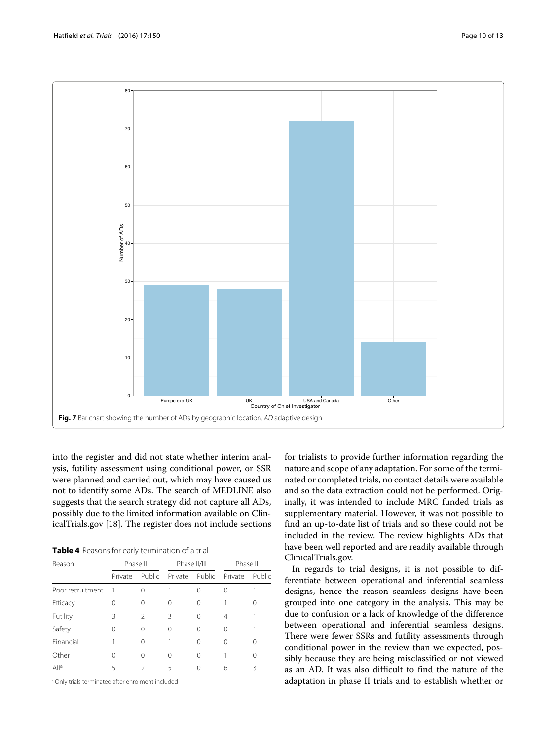

<span id="page-9-0"></span>into the register and did not state whether interim analysis, futility assessment using conditional power, or SSR were planned and carried out, which may have caused us not to identify some ADs. The search of MEDLINE also suggests that the search strategy did not capture all ADs, possibly due to the limited information available on ClinicalTrials.gov [\[18\]](#page-11-14). The register does not include sections

**Table 4** Reasons for early termination of a trial

<span id="page-9-1"></span>

| Reason           | Phase II |                | Phase II/III                  |   | Phase III |                  |
|------------------|----------|----------------|-------------------------------|---|-----------|------------------|
|                  | Private  |                | Public Private Public Private |   |           | Public           |
| Poor recruitment |          | ∩              |                               | Ω | ∩         |                  |
| Efficacy         | 0        | $\Omega$       | $^{()}$                       | 0 |           | $\left( \right)$ |
| Futility         | 3        | $\mathfrak{D}$ | 3                             | 0 | 4         |                  |
| Safety           | 0        | $\cap$         | ∩                             | Ω | ∩         |                  |
| Financial        |          | $\cap$         |                               | U | ∩         | ∩                |
| Other            | Ω        | $\cap$         | ∩                             | Ω |           | ∩                |
| All <sup>a</sup> | 5        |                | 5                             | Λ | 6         | 3                |

aOnly trials terminated after enrolment included

for trialists to provide further information regarding the nature and scope of any adaptation. For some of the terminated or completed trials, no contact details were available and so the data extraction could not be performed. Originally, it was intended to include MRC funded trials as supplementary material. However, it was not possible to find an up-to-date list of trials and so these could not be included in the review. The review highlights ADs that have been well reported and are readily available through ClinicalTrials.gov.

In regards to trial designs, it is not possible to differentiate between operational and inferential seamless designs, hence the reason seamless designs have been grouped into one category in the analysis. This may be due to confusion or a lack of knowledge of the difference between operational and inferential seamless designs. There were fewer SSRs and futility assessments through conditional power in the review than we expected, possibly because they are being misclassified or not viewed as an AD. It was also difficult to find the nature of the adaptation in phase II trials and to establish whether or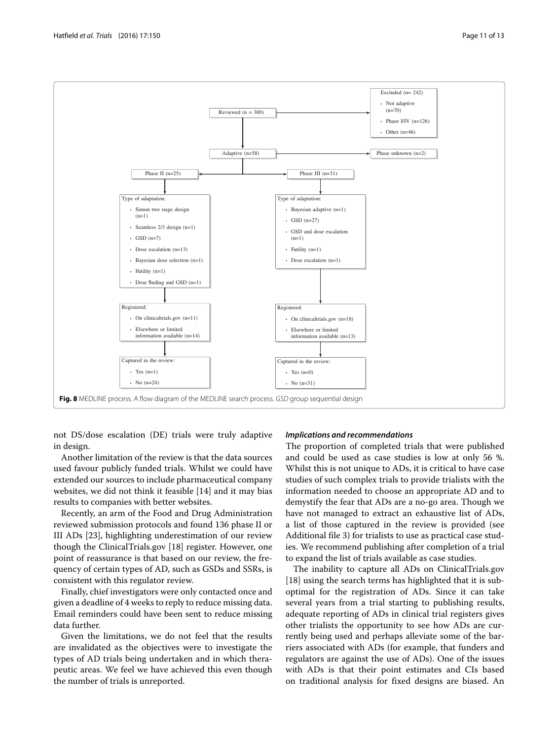

<span id="page-10-0"></span>not DS/dose escalation (DE) trials were truly adaptive in design.

Another limitation of the review is that the data sources used favour publicly funded trials. Whilst we could have extended our sources to include pharmaceutical company websites, we did not think it feasible [\[14\]](#page-11-9) and it may bias results to companies with better websites.

Recently, an arm of the Food and Drug Administration reviewed submission protocols and found 136 phase II or III ADs [\[23\]](#page-11-22), highlighting underestimation of our review though the ClinicalTrials.gov [\[18\]](#page-11-14) register. However, one point of reassurance is that based on our review, the frequency of certain types of AD, such as GSDs and SSRs, is consistent with this regulator review.

Finally, chief investigators were only contacted once and given a deadline of 4 weeks to reply to reduce missing data. Email reminders could have been sent to reduce missing data further.

Given the limitations, we do not feel that the results are invalidated as the objectives were to investigate the types of AD trials being undertaken and in which therapeutic areas. We feel we have achieved this even though the number of trials is unreported.

#### *Implications and recommendations*

The proportion of completed trials that were published and could be used as case studies is low at only 56 %. Whilst this is not unique to ADs, it is critical to have case studies of such complex trials to provide trialists with the information needed to choose an appropriate AD and to demystify the fear that ADs are a no-go area. Though we have not managed to extract an exhaustive list of ADs, a list of those captured in the review is provided (see Additional file [3\)](#page-11-23) for trialists to use as practical case studies. We recommend publishing after completion of a trial to expand the list of trials available as case studies.

The inability to capture all ADs on ClinicalTrials.gov [\[18\]](#page-11-14) using the search terms has highlighted that it is suboptimal for the registration of ADs. Since it can take several years from a trial starting to publishing results, adequate reporting of ADs in clinical trial registers gives other trialists the opportunity to see how ADs are currently being used and perhaps alleviate some of the barriers associated with ADs (for example, that funders and regulators are against the use of ADs). One of the issues with ADs is that their point estimates and CIs based on traditional analysis for fixed designs are biased. An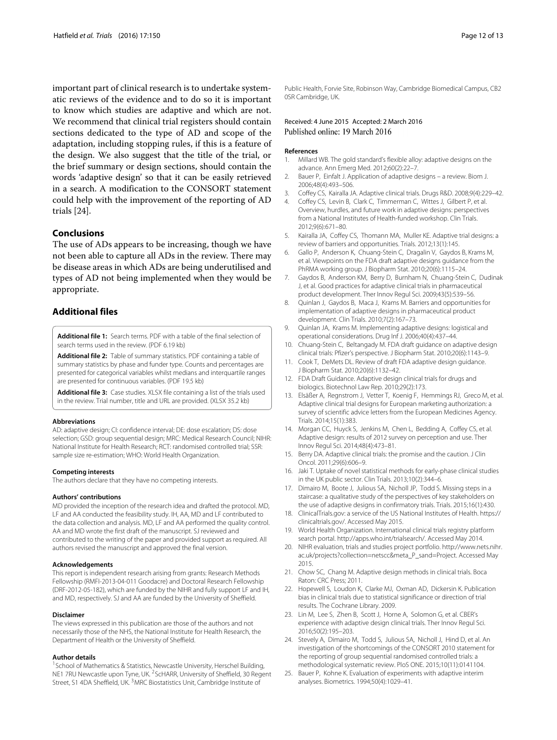important part of clinical research is to undertake systematic reviews of the evidence and to do so it is important to know which studies are adaptive and which are not. We recommend that clinical trial registers should contain sections dedicated to the type of AD and scope of the adaptation, including stopping rules, if this is a feature of the design. We also suggest that the title of the trial, or the brief summary or design sections, should contain the words 'adaptive design' so that it can be easily retrieved in a search. A modification to the CONSORT statement could help with the improvement of the reporting of AD trials [\[24\]](#page-11-24).

#### **Conclusions**

The use of ADs appears to be increasing, though we have not been able to capture all ADs in the review. There may be disease areas in which ADs are being underutilised and types of AD not being implemented when they would be appropriate.

# **Additional files**

<span id="page-11-17"></span>**[Additional file 1:](http://dx.doi.org/10.1186/s13063-016-1273-9)** Search terms. PDF with a table of the final selection of search terms used in the review. (PDF 6.19 kb)

<span id="page-11-21"></span>**[Additional file 2:](http://dx.doi.org/10.1186/s13063-016-1273-9)** Table of summary statistics. PDF containing a table of summary statistics by phase and funder type. Counts and percentages are presented for categorical variables whilst medians and interquartile ranges are presented for continuous variables. (PDF 19.5 kb)

<span id="page-11-23"></span>**[Additional file 3:](http://dx.doi.org/10.1186/s13063-016-1273-9)** Case studies. XLSX file containing a list of the trials used in the review. Trial number, title and URL are provided. (XLSX 35.2 kb)

#### **Abbreviations**

AD: adaptive design; CI: confidence interval; DE: dose escalation; DS: dose selection; GSD: group sequential design; MRC: Medical Research Council; NIHR: National Institute for Health Research; RCT: randomised controlled trial; SSR: sample size re-estimation; WHO: World Health Organization.

#### **Competing interests**

The authors declare that they have no competing interests.

#### **Authors' contributions**

MD provided the inception of the research idea and drafted the protocol. MD, LF and AA conducted the feasibility study. IH, AA, MD and LF contributed to the data collection and analysis. MD, LF and AA performed the quality control. AA and MD wrote the first draft of the manuscript. SJ reviewed and contributed to the writing of the paper and provided support as required. All authors revised the manuscript and approved the final version.

#### **Acknowledgements**

This report is independent research arising from grants: Research Methods Fellowship (RMFI-2013-04-011 Goodacre) and Doctoral Research Fellowship (DRF-2012-05-182), which are funded by the NIHR and fully support LF and IH, and MD, respectively. SJ and AA are funded by the University of Sheffield.

#### **Disclaimer**

The views expressed in this publication are those of the authors and not necessarily those of the NHS, the National Institute for Health Research, the Department of Health or the University of Sheffield.

#### **Author details**

<sup>1</sup> School of Mathematics & Statistics, Newcastle University, Herschel Building, NE1 7RU Newcastle upon Tyne, UK. <sup>2</sup> ScHARR, University of Sheffield, 30 Regent Street, S1 4DA Sheffield, UK.<sup>3</sup> MRC Biostatistics Unit, Cambridge Institute of

Public Health, Forvie Site, Robinson Way, Cambridge Biomedical Campus, CB2 0SR Cambridge, UK.

#### Received: 4 June 2015 Accepted: 2 March 2016 Published online: 19 March 2016

#### **References**

- <span id="page-11-0"></span>1. Millard WB. The gold standard's flexible alloy: adaptive designs on the advance. Ann Emerg Med. 2012;60(2):22–7.
- <span id="page-11-1"></span>2. Bauer P, Einfalt J. Application of adaptive designs – a review. Biom J. 2006;48(4):493–506.
- 3. Coffey CS, Kairalla JA. Adaptive clinical trials. Drugs R&D. 2008;9(4):229–42.
- <span id="page-11-11"></span>Coffey CS, Levin B, Clark C, Timmerman C, Wittes J, Gilbert P, et al. Overview, hurdles, and future work in adaptive designs: perspectives from a National Institutes of Health-funded workshop. Clin Trials. 2012;9(6):671–80.
- <span id="page-11-2"></span>5. Kairalla JA, Coffey CS, Thomann MA, Muller KE. Adaptive trial designs: a review of barriers and opportunities. Trials. 2012;13(1):145.
- <span id="page-11-4"></span>6. Gallo P, Anderson K, Chuang-Stein C, Dragalin V, Gaydos B, Krams M, et al. Viewpoints on the FDA draft adaptive designs guidance from the PhRMA working group. J Biopharm Stat. 2010;20(6):1115–24.
- 7. Gaydos B, Anderson KM, Berry D, Burnham N, Chuang-Stein C, Dudinak J, et al. Good practices for adaptive clinical trials in pharmaceutical product development. Ther Innov Regul Sci. 2009;43(5):539–56.
- <span id="page-11-7"></span>8. Quinlan J, Gaydos B, Maca J, Krams M. Barriers and opportunities for implementation of adaptive designs in pharmaceutical product development. Clin Trials. 2010;7(2):167–73.
- <span id="page-11-3"></span>9. Quinlan JA, Krams M. Implementing adaptive designs: logistical and operational considerations. Drug Inf J. 2006;40(4):437–44.
- <span id="page-11-5"></span>10. Chuang-Stein C, Beltangady M. FDA draft guidance on adaptive design clinical trials: Pfizer's perspective. J Biopharm Stat. 2010;20(6):1143–9.
- 11. Cook T, DeMets DL. Review of draft FDA adaptive design guidance. J Biopharm Stat. 2010;20(6):1132–42.
- <span id="page-11-6"></span>12. FDA Draft Guidance. Adaptive design clinical trials for drugs and biologics. Biotechnol Law Rep. 2010;29(2):173.
- <span id="page-11-8"></span>13. Elsäßer A, Regnstrom J, Vetter T, Koenig F, Hemmings RJ, Greco M, et al. Adaptive clinical trial designs for European marketing authorization: a survey of scientific advice letters from the European Medicines Agency. Trials. 2014;15(1):383.
- <span id="page-11-9"></span>14. Morgan CC, Huyck S, Jenkins M, Chen L, Bedding A, Coffey CS, et al. Adaptive design: results of 2012 survey on perception and use. Ther Innov Regul Sci. 2014;48(4):473–81.
- <span id="page-11-10"></span>15. Berry DA. Adaptive clinical trials: the promise and the caution. J Clin Oncol. 2011;29(6):606–9.
- <span id="page-11-12"></span>16. Jaki T. Uptake of novel statistical methods for early-phase clinical studies in the UK public sector. Clin Trials. 2013;10(2):344–6.
- <span id="page-11-13"></span>17. Dimairo M, Boote J, Julious SA, Nicholl JP, Todd S. Missing steps in a staircase: a qualitative study of the perspectives of key stakeholders on the use of adaptive designs in confirmatory trials. Trials. 2015;16(1):430.
- <span id="page-11-14"></span>18. ClinicalTrials.gov: a service of the US National Institutes of Health. [https://](https://clinicaltrials.gov/) [clinicaltrials.gov/.](https://clinicaltrials.gov/) Accessed May 2015.
- <span id="page-11-15"></span>19. World Health Organization. International clinical trials registry platform search portal. [http://apps.who.int/trialsearch/.](http://apps.who.int/trialsearch/) Accessed May 2014.
- <span id="page-11-16"></span>20. NIHR evaluation, trials and studies project portfolio. [http://www.nets.nihr.](http://www.nets.nihr.ac.uk/projects?collection=netscc&meta_P_sand=Project) [ac.uk/projects?collection=netscc&meta\\_P\\_sand=Project.](http://www.nets.nihr.ac.uk/projects?collection=netscc&meta_P_sand=Project) Accessed May 2015.
- <span id="page-11-18"></span>21. Chow SC, Chang M. Adaptive design methods in clinical trials. Boca Raton: CRC Press; 2011.
- <span id="page-11-19"></span>22. Hopewell S, Loudon K, Clarke MJ, Oxman AD, Dickersin K. Publication bias in clinical trials due to statistical significance or direction of trial results. The Cochrane Library. 2009.
- <span id="page-11-22"></span>23. Lin M, Lee S, Zhen B, Scott J, Horne A, Solomon G, et al. CBER's experience with adaptive design clinical trials. Ther Innov Regul Sci. 2016;50(2):195–203.
- <span id="page-11-24"></span>24. Stevely A, Dimairo M, Todd S, Julious SA, Nicholl J, Hind D, et al. An investigation of the shortcomings of the CONSORT 2010 statement for the reporting of group sequential randomised controlled trials: a methodological systematic review. PloS ONE. 2015;10(11):0141104.
- <span id="page-11-20"></span>25. Bauer P, Kohne K. Evaluation of experiments with adaptive interim analyses. Biometrics. 1994;50(4):1029–41.